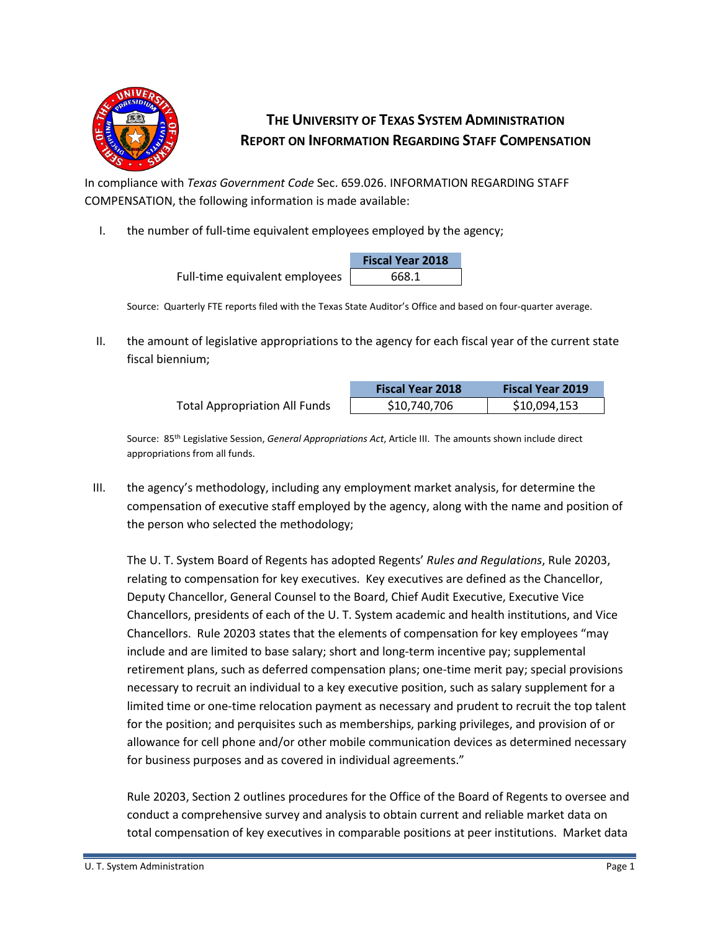

## **THE UNIVERSITY OF TEXAS SYSTEM ADMINISTRATION REPORT ON INFORMATION REGARDING STAFF COMPENSATION**

In compliance with *Texas Government Code* Sec. 659.026. INFORMATION REGARDING STAFF COMPENSATION, the following information is made available:

I. the number of full-time equivalent employees employed by the agency;

|                                | <b>Fiscal Year 2018</b> |  |  |
|--------------------------------|-------------------------|--|--|
| Full-time equivalent employees | 668.1                   |  |  |

Source: Quarterly FTE reports filed with the Texas State Auditor's Office and based on four-quarter average.

II. the amount of legislative appropriations to the agency for each fiscal year of the current state fiscal biennium;

|                                      | <b>Fiscal Year 2018</b> | <b>Fiscal Year 2019</b> |
|--------------------------------------|-------------------------|-------------------------|
| <b>Total Appropriation All Funds</b> | \$10,740,706            | \$10,094,153            |

Source: 85th Legislative Session, *General Appropriations Act*, Article III. The amounts shown include direct appropriations from all funds.

III. the agency's methodology, including any employment market analysis, for determine the compensation of executive staff employed by the agency, along with the name and position of the person who selected the methodology;

The U. T. System Board of Regents has adopted Regents' *Rules and Regulations*, Rule 20203, relating to compensation for key executives. Key executives are defined as the Chancellor, Deputy Chancellor, General Counsel to the Board, Chief Audit Executive, Executive Vice Chancellors, presidents of each of the U. T. System academic and health institutions, and Vice Chancellors. Rule 20203 states that the elements of compensation for key employees "may include and are limited to base salary; short and long-term incentive pay; supplemental retirement plans, such as deferred compensation plans; one-time merit pay; special provisions necessary to recruit an individual to a key executive position, such as salary supplement for a limited time or one-time relocation payment as necessary and prudent to recruit the top talent for the position; and perquisites such as memberships, parking privileges, and provision of or allowance for cell phone and/or other mobile communication devices as determined necessary for business purposes and as covered in individual agreements."

Rule 20203, Section 2 outlines procedures for the Office of the Board of Regents to oversee and conduct a comprehensive survey and analysis to obtain current and reliable market data on total compensation of key executives in comparable positions at peer institutions. Market data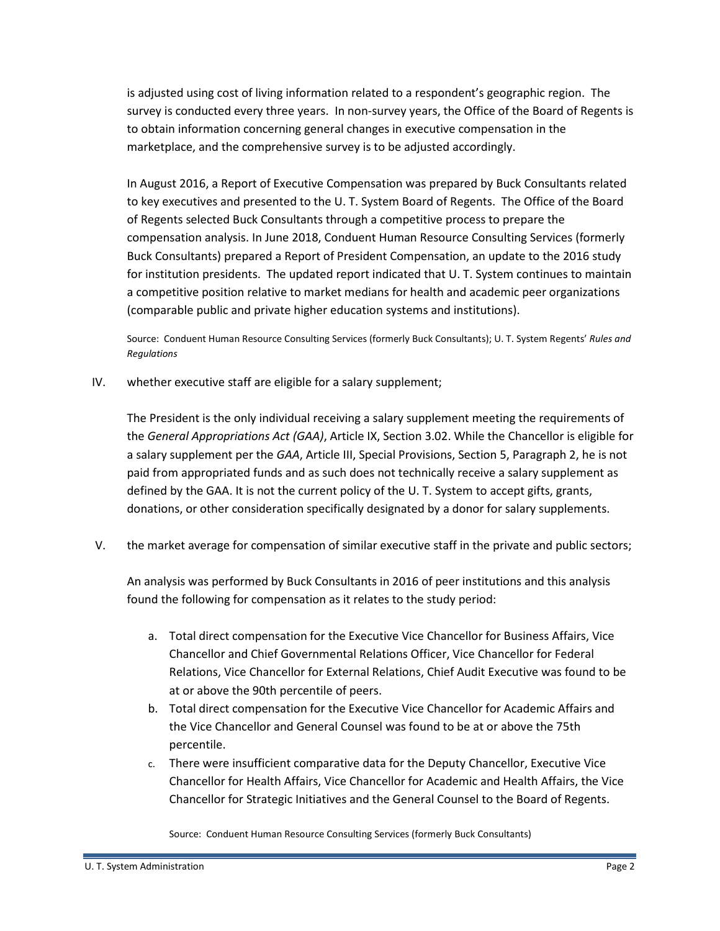is adjusted using cost of living information related to a respondent's geographic region. The survey is conducted every three years. In non-survey years, the Office of the Board of Regents is to obtain information concerning general changes in executive compensation in the marketplace, and the comprehensive survey is to be adjusted accordingly.

In August 2016, a Report of Executive Compensation was prepared by Buck Consultants related to key executives and presented to the U. T. System Board of Regents. The Office of the Board of Regents selected Buck Consultants through a competitive process to prepare the compensation analysis. In June 2018, Conduent Human Resource Consulting Services (formerly Buck Consultants) prepared a Report of President Compensation, an update to the 2016 study for institution presidents. The updated report indicated that U. T. System continues to maintain a competitive position relative to market medians for health and academic peer organizations (comparable public and private higher education systems and institutions).

Source: Conduent Human Resource Consulting Services (formerly Buck Consultants); U. T. System Regents' *Rules and Regulations*

IV. whether executive staff are eligible for a salary supplement;

The President is the only individual receiving a salary supplement meeting the requirements of the *General Appropriations Act (GAA)*, Article IX, Section 3.02. While the Chancellor is eligible for a salary supplement per the *GAA*, Article III, Special Provisions, Section 5, Paragraph 2, he is not paid from appropriated funds and as such does not technically receive a salary supplement as defined by the GAA. It is not the current policy of the U. T. System to accept gifts, grants, donations, or other consideration specifically designated by a donor for salary supplements.

V. the market average for compensation of similar executive staff in the private and public sectors;

An analysis was performed by Buck Consultants in 2016 of peer institutions and this analysis found the following for compensation as it relates to the study period:

- a. Total direct compensation for the Executive Vice Chancellor for Business Affairs, Vice Chancellor and Chief Governmental Relations Officer, Vice Chancellor for Federal Relations, Vice Chancellor for External Relations, Chief Audit Executive was found to be at or above the 90th percentile of peers.
- b. Total direct compensation for the Executive Vice Chancellor for Academic Affairs and the Vice Chancellor and General Counsel was found to be at or above the 75th percentile.
- c. There were insufficient comparative data for the Deputy Chancellor, Executive Vice Chancellor for Health Affairs, Vice Chancellor for Academic and Health Affairs, the Vice Chancellor for Strategic Initiatives and the General Counsel to the Board of Regents.

Source: Conduent Human Resource Consulting Services (formerly Buck Consultants)